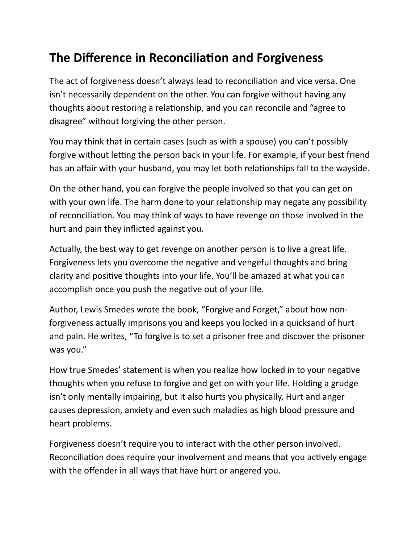## **The Difference in Reconciliation and Forgiveness**

The act of forgiveness doesn't always lead to reconciliation and vice versa. One isn't necessarily dependent on the other. You can forgive without having any thoughts about restoring a relationship, and you can reconcile and "agree to disagree" without forgiving the other person.

You may think that in certain cases (such as with a spouse) you can't possibly forgive without letting the person back in your life. For example, if your best friend has an affair with your husband, you may let both relationships fall to the wayside.

On the other hand, you can forgive the people involved so that you can get on with your own life. The harm done to your relationship may negate any possibility of reconciliation. You may think of ways to have revenge on those involved in the hurt and pain they inflicted against you.

Actually, the best way to get revenge on another person is to live a great life. Forgiveness lets you overcome the negative and vengeful thoughts and bring clarity and positive thoughts into your life. You'll be amazed at what you can accomplish once you push the negative out of your life.

Author, Lewis Smedes wrote the book, "Forgive and Forget," about how nonforgiveness actually imprisons you and keeps you locked in a quicksand of hurt and pain. He writes, "To forgive is to set a prisoner free and discover the prisoner was you."

How true Smedes' statement is when you realize how locked in to your negative thoughts when you refuse to forgive and get on with your life. Holding a grudge isn't only mentally impairing, but it also hurts you physically. Hurt and anger causes depression, anxiety and even such maladies as high blood pressure and heart problems.

Forgiveness doesn't require you to interact with the other person involved. Reconciliation does require your involvement and means that you actively engage with the offender in all ways that have hurt or angered you.